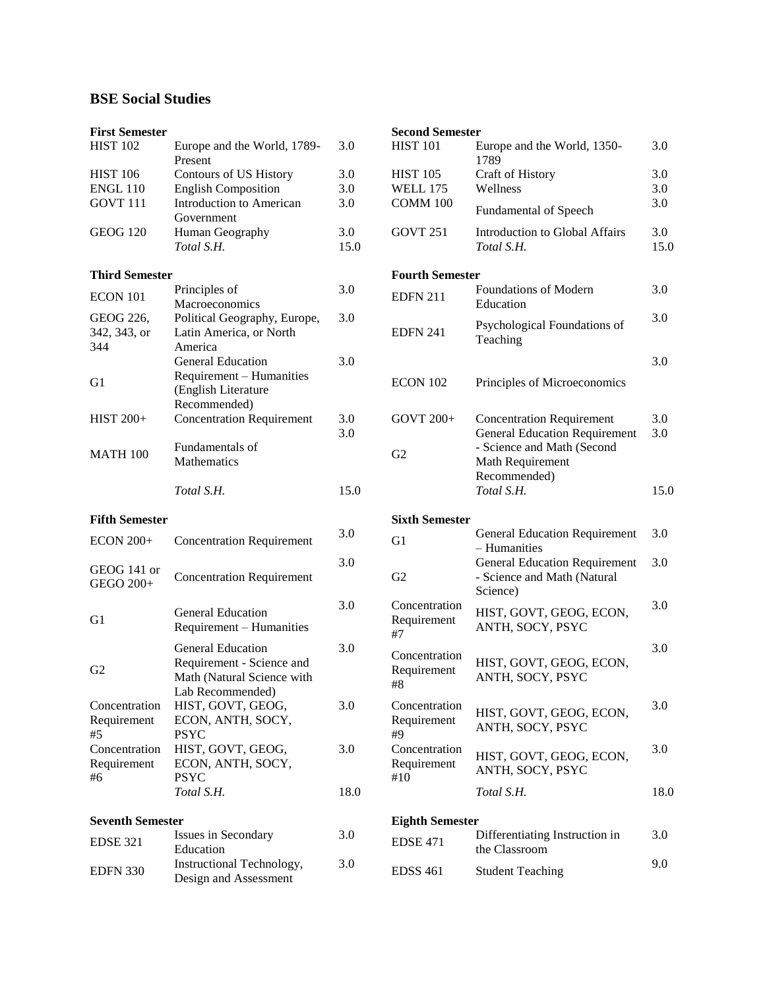## **BSE Social Studies**

| <b>First Semester</b>    |                                                    |            |
|--------------------------|----------------------------------------------------|------------|
| <b>HIST 102</b>          | Europe and the World, 1789-<br>Present             | 3.0        |
| <b>HIST 106</b>          | Contours of US History                             | 3.0        |
| <b>ENGL 110</b>          | <b>English Composition</b>                         | 3.0        |
| <b>GOVT 111</b>          | <b>Introduction to American</b>                    | 3.0        |
|                          | Government                                         |            |
| <b>GEOG 120</b>          | Human Geography                                    | 3.0        |
|                          | Total S.H.                                         | 15.0       |
| <b>Third Semester</b>    |                                                    |            |
| ECON 101                 | Principles of<br>Macroeconomics                    | 3.0        |
| GEOG 226,                | Political Geography, Europe,                       | 3.0        |
| 342, 343, or             | Latin America, or North                            |            |
| 344                      | America                                            |            |
|                          | <b>General Education</b>                           | 3.0        |
|                          | Requirement - Humanities                           |            |
| G <sub>1</sub>           | (English Literature                                |            |
|                          | Recommended)                                       |            |
| <b>HIST 200+</b>         | <b>Concentration Requirement</b>                   | 3.0<br>3.0 |
|                          | Fundamentals of                                    |            |
| <b>MATH 100</b>          | <b>Mathematics</b>                                 |            |
|                          | Total S.H.                                         | 15.0       |
| <b>Fifth Semester</b>    |                                                    |            |
| <b>ECON 200+</b>         | <b>Concentration Requirement</b>                   | 3.0        |
| GEOG 141 or<br>GEGO 200+ | <b>Concentration Requirement</b>                   | 3.0        |
| G1                       | <b>General Education</b>                           | 3.0        |
|                          | Requirement - Humanities                           |            |
|                          | <b>General Education</b>                           | 3.0        |
| G2                       | Requirement - Science and                          |            |
|                          | Math (Natural Science with                         |            |
|                          | Lab Recommended)                                   |            |
| Concentration            | HIST, GOVT, GEOG,                                  | 3.0        |
| Requirement              | ECON, ANTH, SOCY,                                  |            |
| #5                       | <b>PSYC</b>                                        |            |
| Concentration            | HIST, GOVT, GEOG,                                  | 3.0        |
| Requirement              | ECON, ANTH, SOCY,                                  |            |
| #6                       | <b>PSYC</b>                                        |            |
|                          | Total S.H.                                         | 18.0       |
| <b>Seventh Semester</b>  |                                                    |            |
| <b>EDSE 321</b>          | Issues in Secondary                                | 3.0        |
|                          | Education                                          |            |
| <b>EDFN 330</b>          | Instructional Technology,<br>Design and Assessment | 3.0        |

## **Second Semester** 3.0 HIST 101 Europe and the World, 1350- 1789 3.0 HIST 105 Craft of History 3.0 ENGL 110 English Composition 3.0 WELL 175 Wellness 3.0 3.0 3.0 COMM 100 Fundamental of Speech 3.0 GOVT 251 Introduction to Global Affairs 3.0 *Total S.H.* 15.0 *Total S.H.* 15.0 **Fourth Semester**  $\text{EDFN } 211$  Foundations of Modern Education 3.0 EDFN 241 Psychological Foundations of Teaching 3.0 ECON 102 Principles of Microeconomics 3.0 GOVT 200+ Concentration Requirement 3.0 G2 General Education Requirement - Science and Math (Second Math Requirement Recommended)<br>Total S.H. 3.0 *Total S.H.* 15.0 *Total S.H.* 15.0 **Fifth Semester Sixth Semester** G1 General Education Requirement 3.0 G1 – Humanities 3.0 G2 General Education Requirement - Science and Math (Natural Science) 3.0 Concentration Requirement #7 HIST, GOVT, GEOG, ECON, ANTH, SOCY, PSYC 3.0 **Concentration** Requirement #8 HIST, GOVT, GEOG, ECON, ANTH, SOCY, PSYC 3.0 Concentration Requirement #9 HIST, GOVT, GEOG, ECON, ANTH, SOCY, PSYC 3.0 **Concentration** Requirement #10 HIST, GOVT, GEOG, ECON, ANTH, SOCY, PSYC 3.0 *Total S.H.* 18.0 *Total S.H.* 18.0 **Eighth Semester**

| 3.0 | <b>EDSE 471</b> | Differentiating Instruction in<br>the Classroom | 3.0 |
|-----|-----------------|-------------------------------------------------|-----|
| 3.0 | <b>EDSS 461</b> | <b>Student Teaching</b>                         | 9.0 |